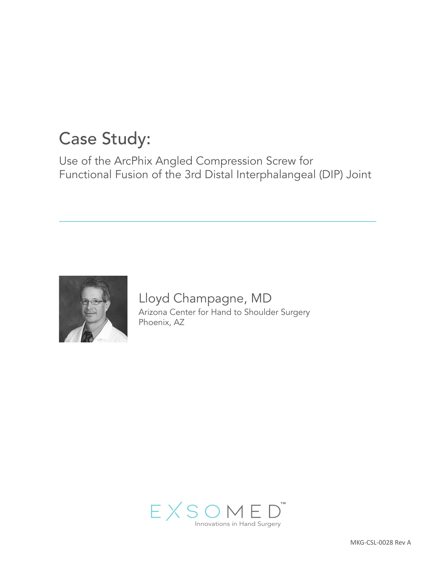# Case Study:

Use of the ArcPhix Angled Compression Screw for Functional Fusion of the 3rd Distal Interphalangeal (DIP) Joint



Lloyd Champagne, MD Arizona Center for Hand to Shoulder Surgery Phoenix, AZ

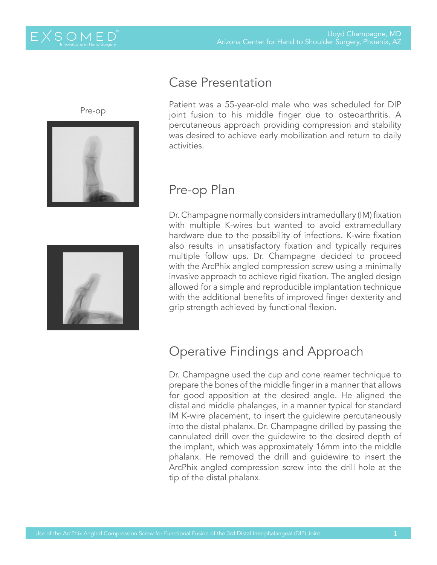Pre-op



### Case Presentation

Patient was a 55-year-old male who was scheduled for DIP joint fusion to his middle finger due to osteoarthritis. A percutaneous approach providing compression and stability was desired to achieve early mobilization and return to daily activities.

## Pre-op Plan

Dr. Champagne normally considers intramedullary (IM) fixation with multiple K-wires but wanted to avoid extramedullary hardware due to the possibility of infections. K-wire fixation also results in unsatisfactory fixation and typically requires multiple follow ups. Dr. Champagne decided to proceed with the ArcPhix angled compression screw using a minimally invasive approach to achieve rigid fixation. The angled design allowed for a simple and reproducible implantation technique with the additional benefits of improved finger dexterity and grip strength achieved by functional flexion.

# Operative Findings and Approach

Dr. Champagne used the cup and cone reamer technique to prepare the bones of the middle finger in a manner that allows for good apposition at the desired angle. He aligned the distal and middle phalanges, in a manner typical for standard IM K-wire placement, to insert the guidewire percutaneously into the distal phalanx. Dr. Champagne drilled by passing the cannulated drill over the guidewire to the desired depth of the implant, which was approximately 16mm into the middle phalanx. He removed the drill and guidewire to insert the ArcPhix angled compression screw into the drill hole at the tip of the distal phalanx.